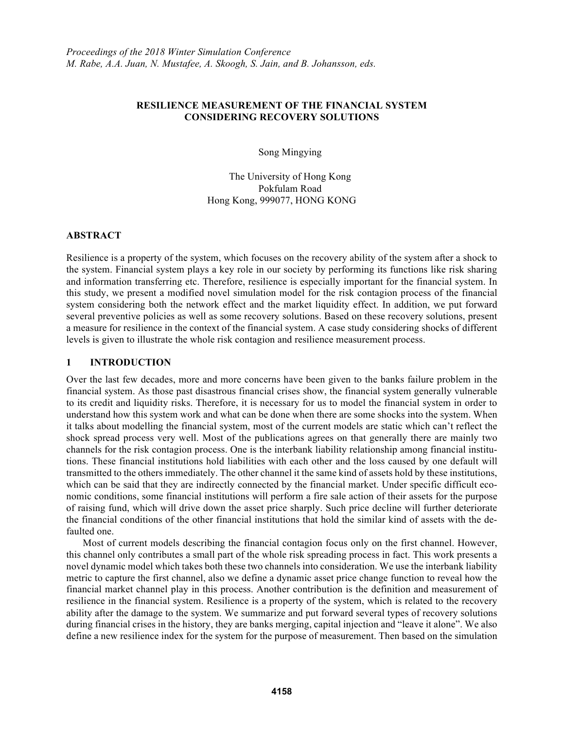#### **RESILIENCE MEASUREMENT OF THE FINANCIAL SYSTEM CONSIDERING RECOVERY SOLUTIONS**

Song Mingying

The University of Hong Kong Pokfulam Road Hong Kong, 999077, HONG KONG

#### **ABSTRACT**

Resilience is a property of the system, which focuses on the recovery ability of the system after a shock to the system. Financial system plays a key role in our society by performing its functions like risk sharing and information transferring etc. Therefore, resilience is especially important for the financial system. In this study, we present a modified novel simulation model for the risk contagion process of the financial system considering both the network effect and the market liquidity effect. In addition, we put forward several preventive policies as well as some recovery solutions. Based on these recovery solutions, present a measure for resilience in the context of the financial system. A case study considering shocks of different levels is given to illustrate the whole risk contagion and resilience measurement process.

## **1 INTRODUCTION**

Over the last few decades, more and more concerns have been given to the banks failure problem in the financial system. As those past disastrous financial crises show, the financial system generally vulnerable to its credit and liquidity risks. Therefore, it is necessary for us to model the financial system in order to understand how this system work and what can be done when there are some shocks into the system. When it talks about modelling the financial system, most of the current models are static which can't reflect the shock spread process very well. Most of the publications agrees on that generally there are mainly two channels for the risk contagion process. One is the interbank liability relationship among financial institutions. These financial institutions hold liabilities with each other and the loss caused by one default will transmitted to the others immediately. The other channel it the same kind of assets hold by these institutions, which can be said that they are indirectly connected by the financial market. Under specific difficult economic conditions, some financial institutions will perform a fire sale action of their assets for the purpose of raising fund, which will drive down the asset price sharply. Such price decline will further deteriorate the financial conditions of the other financial institutions that hold the similar kind of assets with the defaulted one.

Most of current models describing the financial contagion focus only on the first channel. However, this channel only contributes a small part of the whole risk spreading process in fact. This work presents a novel dynamic model which takes both these two channels into consideration. We use the interbank liability metric to capture the first channel, also we define a dynamic asset price change function to reveal how the financial market channel play in this process. Another contribution is the definition and measurement of resilience in the financial system. Resilience is a property of the system, which is related to the recovery ability after the damage to the system. We summarize and put forward several types of recovery solutions during financial crises in the history, they are banks merging, capital injection and "leave it alone". We also define a new resilience index for the system for the purpose of measurement. Then based on the simulation